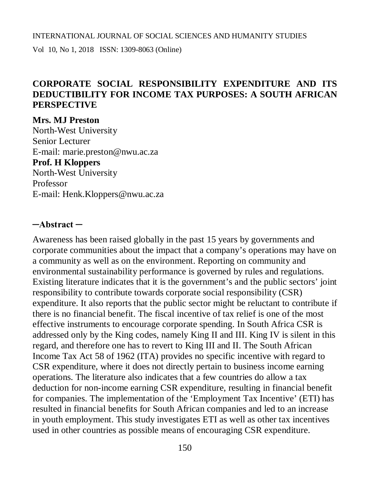Vol 10, No 1, 2018 ISSN: 1309-8063 (Online)

## **CORPORATE SOCIAL RESPONSIBILITY EXPENDITURE AND ITS DEDUCTIBILITY FOR INCOME TAX PURPOSES: A SOUTH AFRICAN PERSPECTIVE**

**Mrs. MJ Preston** North-West University Senior Lecturer E-mail: [marie.preston@nwu.ac.za](mailto:marie.preston@nwu.ac.za) **Prof. H Kloppers** North-West University Professor E-mail: [Henk.Kloppers@nwu.ac.za](mailto:Henk.Kloppers@nwu.ac.za)

### **─Abstract ─**

Awareness has been raised globally in the past 15 years by governments and corporate communities about the impact that a company's operations may have on a community as well as on the environment. Reporting on community and environmental sustainability performance is governed by rules and regulations. Existing literature indicates that it is the government's and the public sectors' joint responsibility to contribute towards corporate social responsibility (CSR) expenditure. It also reports that the public sector might be reluctant to contribute if there is no financial benefit. The fiscal incentive of tax relief is one of the most effective instruments to encourage corporate spending. In South Africa CSR is addressed only by the King codes, namely King II and III. King IV is silent in this regard, and therefore one has to revert to King III and II. The South African Income Tax Act 58 of 1962 (ITA) provides no specific incentive with regard to CSR expenditure, where it does not directly pertain to business income earning operations. The literature also indicates that a few countries do allow a tax deduction for non-income earning CSR expenditure, resulting in financial benefit for companies. The implementation of the 'Employment Tax Incentive' (ETI) has resulted in financial benefits for South African companies and led to an increase in youth employment. This study investigates ETI as well as other tax incentives used in other countries as possible means of encouraging CSR expenditure.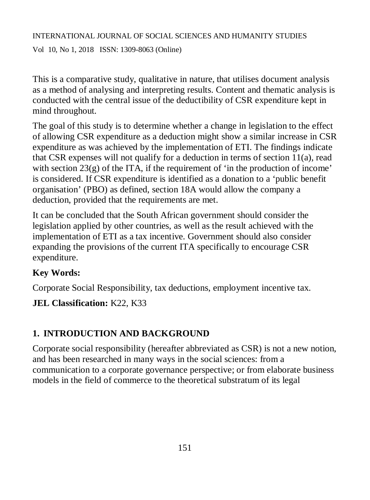Vol 10, No 1, 2018 ISSN: 1309-8063 (Online)

This is a comparative study, qualitative in nature, that utilises document analysis as a method of analysing and interpreting results. Content and thematic analysis is conducted with the central issue of the deductibility of CSR expenditure kept in mind throughout.

The goal of this study is to determine whether a change in legislation to the effect of allowing CSR expenditure as a deduction might show a similar increase in CSR expenditure as was achieved by the implementation of ETI. The findings indicate that CSR expenses will not qualify for a deduction in terms of section 11(a), read with section  $23(g)$  of the ITA, if the requirement of 'in the production of income' is considered. If CSR expenditure is identified as a donation to a 'public benefit organisation' (PBO) as defined, section 18A would allow the company a deduction, provided that the requirements are met.

It can be concluded that the South African government should consider the legislation applied by other countries, as well as the result achieved with the implementation of ETI as a tax incentive. Government should also consider expanding the provisions of the current ITA specifically to encourage CSR expenditure.

# **Key Words:**

Corporate Social Responsibility, tax deductions, employment incentive tax.

# **JEL Classification:** K22, K33

# **1. INTRODUCTION AND BACKGROUND**

Corporate social responsibility (hereafter abbreviated as CSR) is not a new notion, and has been researched in many ways in the social sciences: from a communication to a corporate governance perspective; or from elaborate business models in the field of commerce to the theoretical substratum of its legal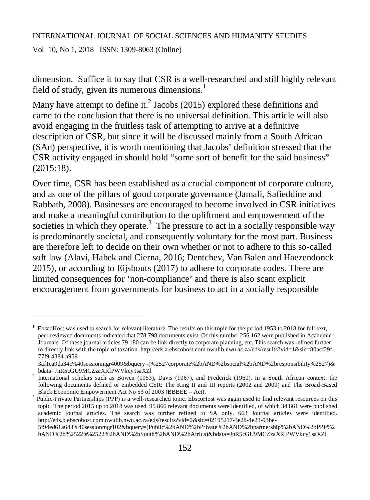Vol 10, No 1, 2018 ISSN: 1309-8063 (Online)

 $\overline{a}$ 

dimension. Suffice it to say that CSR is a well-researched and still highly relevant field of study, given its numerous dimensions. $<sup>1</sup>$ </sup>

Many have attempt to define it.<sup>2</sup> Jacobs (2015) explored these definitions and came to the conclusion that there is no universal definition. This article will also avoid engaging in the fruitless task of attempting to arrive at a definitive description of CSR, but since it will be discussed mainly from a South African (SAn) perspective, it is worth mentioning that Jacobs' definition stressed that the CSR activity engaged in should hold "some sort of benefit for the said business" (2015:18).

Over time, CSR has been established as a crucial component of corporate culture, and as one of the pillars of good corporate governance (Jamali, Safieddine and Rabbath, 2008). Businesses are encouraged to become involved in CSR initiatives and make a meaningful contribution to the upliftment and empowerment of the societies in which they operate.<sup>3</sup> The pressure to act in a socially responsible way is predominantly societal, and consequently voluntary for the most part. Business are therefore left to decide on their own whether or not to adhere to this so-called soft law (Alavi, Habek and Cierna, 2016; Dentchev, Van Balen and Haezendonck 2015), or according to Eijsbouts (2017) to adhere to corporate codes. There are limited consequences for 'non-compliance' and there is also scant explicit encouragement from governments for business to act in a socially responsible

<sup>1</sup> EbscoHost was used to search for relevant literature. The results on this topic for the period 1953 to 2018 for full text, peer reviewed documents indicated that 278 798 documents exist. Of this number 256 162 were published in Academic Journals. Of these journal articles 79 180 can be link directly to corporate planning, etc. This search was refined further to directly link with the topic of taxation. <http://eds.a.ebscohost.com.nwulib.nwu.ac.za/eds/results?vid=1&sid=80acf29f->77f9-4384-a959-

<sup>3</sup>af1ea9da34c%40sessionmgr4009&bquery=(%2527corporate%2bAND%2bsocial%2bAND%2bresponsibility%2527)& bdata=JnR5cGU9MCZzaXRlPWVkcy1saXZl

<sup>2</sup> International scholars such as Bowen (1953), Davis (1967), and Frederick (1960). In a South African context, the following documents defined or embedded CSR: The King II and III reports (2002 and 2009) and The Broad-Based Black Economic Empowerment Act No 53 of 2003 (BBBEE – Act).

<sup>3</sup> Public-Private Partnerships (PPP) is a well-researched topic. EbscoHost was again used to find relevant resources on this topic. The period 2015 up to 2018 was used. 95 866 relevant documents were identified, of which 34 861 were published academic journal articles. The search was further refined to SA only. 663 Journal articles were identified. <http://eds.b.ebscohost.com.nwulib.nwu.ac.za/eds/results?vid=0&sid=02195217-3e28-4e23-93be->

<sup>5</sup>f94ed61a643%40sessionmgr102&bquery=(Public%2bAND%2bPrivate%2bAND%2bpartnership%2bAND%2bPPP%2 bAND%2b%2522is%2522%2bAND%2bSouth%2bAND%2bAfrica)&bdata=JnR5cGU9MCZzaXRlPWVkcy1saXZl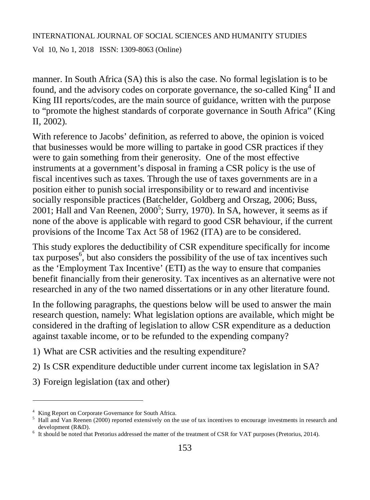Vol 10, No 1, 2018 ISSN: 1309-8063 (Online)

manner. In South Africa (SA) this is also the case. No formal legislation is to be found, and the advisory codes on corporate governance, the so-called King<sup>4</sup> II and King III reports/codes, are the main source of guidance, written with the purpose to "promote the highest standards of corporate governance in South Africa" (King II, 2002).

With reference to Jacobs' definition, as referred to above, the opinion is voiced that businesses would be more willing to partake in good CSR practices if they were to gain something from their generosity. One of the most effective instruments at a government's disposal in framing a CSR policy is the use of fiscal incentives such as taxes. Through the use of taxes governments are in a position either to punish social irresponsibility or to reward and incentivise socially responsible practices (Batchelder, Goldberg and Orszag, 2006; Buss, 2001; Hall and Van Reenen,  $2000^5$ ; Surry, 1970). In SA, however, it seems as if none of the above is applicable with regard to good CSR behaviour, if the current provisions of the Income Tax Act 58 of 1962 (ITA) are to be considered.

This study explores the deductibility of CSR expenditure specifically for income tax purposes $\mathfrak{g}$ , but also considers the possibility of the use of tax incentives such as the 'Employment Tax Incentive' (ETI) as the way to ensure that companies benefit financially from their generosity. Tax incentives as an alternative were not researched in any of the two named dissertations or in any other literature found.

In the following paragraphs, the questions below will be used to answer the main research question, namely: What legislation options are available, which might be considered in the drafting of legislation to allow CSR expenditure as a deduction against taxable income, or to be refunded to the expending company?

- 1) What are CSR activities and the resulting expenditure?
- 2) Is CSR expenditure deductible under current income tax legislation in SA?
- 3) Foreign legislation (tax and other)

<sup>4</sup> King Report on Corporate Governance for South Africa.

<sup>&</sup>lt;sup>5</sup> Hall and Van Reenen (2000) reported extensively on the use of tax incentives to encourage investments in research and development (R&D).

<sup>6</sup> It should be noted that Pretorius addressed the matter of the treatment of CSR for VAT purposes (Pretorius, 2014).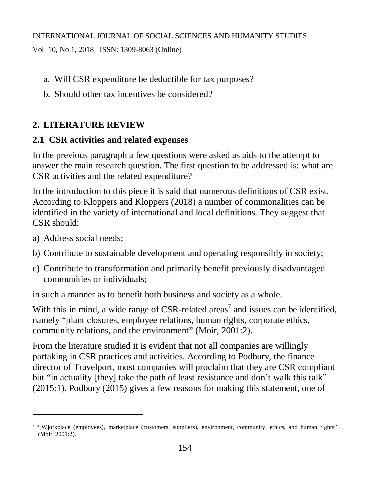Vol 10, No 1, 2018 ISSN: 1309-8063 (Online)

- a. Will CSR expenditure be deductible for tax purposes?
- b. Should other tax incentives be considered?

# **2. LITERATURE REVIEW**

## **2.1 CSR activities and related expenses**

In the previous paragraph a few questions were asked as aids to the attempt to answer the main research question. The first question to be addressed is: what are CSR activities and the related expenditure?

In the introduction to this piece it is said that numerous definitions of CSR exist. According to Kloppers and Kloppers (2018) a number of commonalities can be identified in the variety of international and local definitions. They suggest that CSR should:

a) Address social needs;

 $\overline{a}$ 

- b) Contribute to sustainable development and operating responsibly in society;
- c) Contribute to transformation and primarily benefit previously disadvantaged communities or individuals;

in such a manner as to benefit both business and society as a whole.

With this in mind, a wide range of CSR-related areas<sup>7</sup> and issues can be identified, namely "plant closures, employee relations, human rights, corporate ethics, community relations, and the environment" (Moir, 2001:2).

From the literature studied it is evident that not all companies are willingly partaking in CSR practices and activities. According to Podbury, the finance director of Travelport, most companies will proclaim that they are CSR compliant but "in actuality [they] take the path of least resistance and don't walk this talk" (2015:1). Podbury (2015) gives a few reasons for making this statement, one of

<sup>&</sup>lt;sup>7</sup> "[W]orkplace (employees), marketplace (customers, suppliers), environment, community, ethics, and human rights" (Moir, 2001:2).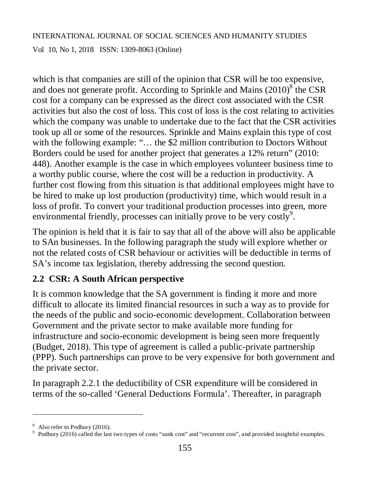Vol 10, No 1, 2018 ISSN: 1309-8063 (Online)

which is that companies are still of the opinion that CSR will be too expensive, and does not generate profit. According to Sprinkle and Mains  $(2010)^{8}$  the CSR cost for a company can be expressed as the direct cost associated with the CSR activities but also the cost of loss. This cost of loss is the cost relating to activities which the company was unable to undertake due to the fact that the CSR activities took up all or some of the resources. Sprinkle and Mains explain this type of cost with the following example: "... the \$2 million contribution to Doctors Without Borders could be used for another project that generates a 12% return" (2010: 448). Another example is the case in which employees volunteer business time to a worthy public course, where the cost will be a reduction in productivity. A further cost flowing from this situation is that additional employees might have to be hired to make up lost production (productivity) time, which would result in a loss of profit. To convert your traditional production processes into green, more environmental friendly, processes can initially prove to be very costly<sup>9</sup>.

The opinion is held that it is fair to say that all of the above will also be applicable to SAn businesses. In the following paragraph the study will explore whether or not the related costs of CSR behaviour or activities will be deductible in terms of SA's income tax legislation, thereby addressing the second question.

### **2.2 CSR: A South African perspective**

It is common knowledge that the SA government is finding it more and more difficult to allocate its limited financial resources in such a way as to provide for the needs of the public and socio-economic development. Collaboration between Government and the private sector to make available more funding for infrastructure and socio-economic development is being seen more frequently (Budget, 2018). This type of agreement is called a public-private partnership (PPP). Such partnerships can prove to be very expensive for both government and the private sector.

In paragraph 2.2.1 the deductibility of CSR expenditure will be considered in terms of the so-called 'General Deductions Formula'. Thereafter, in paragraph

<sup>&</sup>lt;sup>8</sup> Also refer to Podbury (2016).

<sup>&</sup>lt;sup>9</sup> Podbury (2016) called the last two types of costs "sunk cost" and "recurrent cost", and provided insightful examples.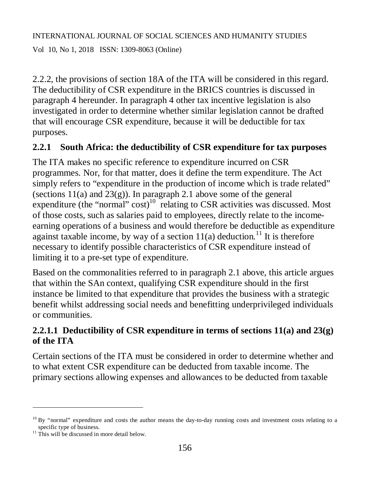Vol 10, No 1, 2018 ISSN: 1309-8063 (Online)

2.2.2, the provisions of section 18A of the ITA will be considered in this regard. The deductibility of CSR expenditure in the BRICS countries is discussed in paragraph 4 hereunder. In paragraph 4 other tax incentive legislation is also investigated in order to determine whether similar legislation cannot be drafted that will encourage CSR expenditure, because it will be deductible for tax purposes.

## **2.2.1 South Africa: the deductibility of CSR expenditure for tax purposes**

The ITA makes no specific reference to expenditure incurred on CSR programmes. Nor, for that matter, does it define the term expenditure. The Act simply refers to "expenditure in the production of income which is trade related" (sections  $11(a)$  and  $23(g)$ ). In paragraph 2.1 above some of the general expenditure (the "normal"  $cost$ )<sup>10</sup> relating to CSR activities was discussed. Most of those costs, such as salaries paid to employees, directly relate to the incomeearning operations of a business and would therefore be deductible as expenditure against taxable income, by way of a section  $11(a)$  deduction.<sup>11</sup> It is therefore necessary to identify possible characteristics of CSR expenditure instead of limiting it to a pre-set type of expenditure.

Based on the commonalities referred to in paragraph 2.1 above, this article argues that within the SAn context, qualifying CSR expenditure should in the first instance be limited to that expenditure that provides the business with a strategic benefit whilst addressing social needs and benefitting underprivileged individuals or communities.

# **2.2.1.1 Deductibility of CSR expenditure in terms of sections 11(a) and 23(g) of the ITA**

Certain sections of the ITA must be considered in order to determine whether and to what extent CSR expenditure can be deducted from taxable income. The primary sections allowing expenses and allowances to be deducted from taxable

<sup>&</sup>lt;sup>10</sup> By "normal" expenditure and costs the author means the day-to-day running costs and investment costs relating to a

specific type of business.<br><sup>11</sup> This will be discussed in more detail below.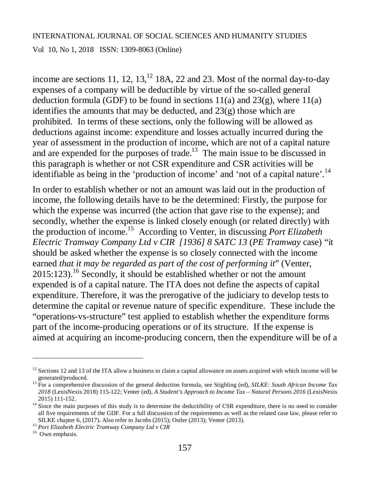Vol 10, No 1, 2018 ISSN: 1309-8063 (Online)

income are sections 11, 12,  $13$ ,  $12$  18A, 22 and 23. Most of the normal day-to-day expenses of a company will be deductible by virtue of the so-called general deduction formula (GDF) to be found in sections  $11(a)$  and  $23(g)$ , where  $11(a)$ identifies the amounts that may be deducted, and  $23(g)$  those which are prohibited. In terms of these sections, only the following will be allowed as deductions against income: expenditure and losses actually incurred during the year of assessment in the production of income, which are not of a capital nature and are expended for the purposes of trade.<sup>13</sup> The main issue to be discussed in this paragraph is whether or not CSR expenditure and CSR activities will be identifiable as being in the 'production of income' and 'not of a capital nature'.<sup>14</sup>

In order to establish whether or not an amount was laid out in the production of income, the following details have to be the determined: Firstly, the purpose for which the expense was incurred (the action that gave rise to the expense); and secondly, whether the expense is linked closely enough (or related directly) with the production of income.<sup>15</sup> According to Venter, in discussing *Port Elizabeth Electric Tramway Company Ltd v CIR [1936] 8 SATC 13* (*PE Tramway* case) "it should be asked whether the expense is so closely connected with the income earned *that it may be regarded as part of the cost of performing it*" (Venter,  $2015:123$ .<sup>16</sup> Secondly, it should be established whether or not the amount expended is of a capital nature. The ITA does not define the aspects of capital expenditure. Therefore, it was the prerogative of the judiciary to develop tests to determine the capital or revenue nature of specific expenditure. These include the "operations-vs-structure" test applied to establish whether the expenditure forms part of the income-producing operations or of its structure. If the expense is aimed at acquiring an income-producing concern, then the expenditure will be of a

 $12$  Sections 12 and 13 of the ITA allow a business to claim a capital allowance on assets acquired with which income will be generated/produced.

<sup>13</sup> For a comprehensive discussion of the general deduction formula, see Stighling (ed), *SILKE: South African Income Tax 2018* (LexisNexis 2018) 115-122; Venter (ed), *A Student's Approach to Income Tax – Natural Persons 2016* (LexisNexis 2015) 111-152.

 $14$  Since the main purposes of this study is to determine the deductibility of CSR expenditure, there is no need to consider all five requirements of the GDF. For a full discussion of the requirements as well as the related case law, please refer to SILKE chapter 6, (2017). Also refer to Jacobs (2015); Ostler (2013); Venter (2013).

<sup>15</sup> *Port Elizabeth Electric Tramway Company Ltd v CIR*

<sup>&</sup>lt;sup>16</sup> Own emphasis.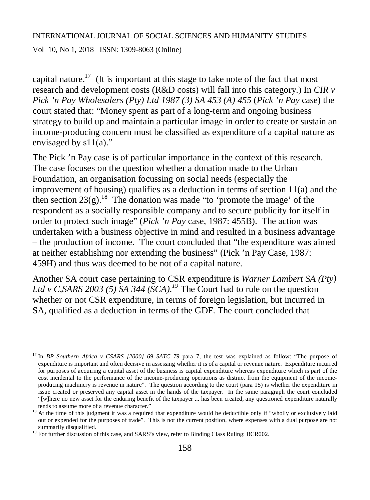Vol 10, No 1, 2018 ISSN: 1309-8063 (Online)

 $\overline{a}$ 

capital nature.<sup>17</sup> (It is important at this stage to take note of the fact that most research and development costs (R&D costs) will fall into this category.) In *CIR v Pick 'n Pay Wholesalers (Pty) Ltd 1987 (3) SA 453 (A) 455* (*Pick 'n Pay* case) the court stated that: "Money spent as part of a long-term and ongoing business strategy to build up and maintain a particular image in order to create or sustain an income-producing concern must be classified as expenditure of a capital nature as envisaged by  $s11(a)$ ."

The Pick 'n Pay case is of particular importance in the context of this research. The case focuses on the question whether a donation made to the Urban Foundation, an organisation focussing on social needs (especially the improvement of housing) qualifies as a deduction in terms of section 11(a) and the then section  $23(g)$ .<sup>18</sup> The donation was made "to 'promote the image' of the respondent as a socially responsible company and to secure publicity for itself in order to protect such image" (*Pick 'n Pay* case, 1987: 455B). The action was undertaken with a business objective in mind and resulted in a business advantage – the production of income. The court concluded that "the expenditure was aimed at neither establishing nor extending the business" (Pick 'n Pay Case, 1987: 459H) and thus was deemed to be not of a capital nature.

Another SA court case pertaining to CSR expenditure is *Warner Lambert SA (Pty)*  Ltd v C, SARS 2003 (5) SA 344 (SCA).<sup>19</sup> The Court had to rule on the question whether or not CSR expenditure, in terms of foreign legislation, but incurred in SA, qualified as a deduction in terms of the GDF. The court concluded that

<sup>17</sup> In *BP Southern Africa v CSARS [2000] 69 SATC 79* para 7, the test was explained as follow: "The purpose of expenditure is important and often decisive in assessing whether it is of a capital or revenue nature. Expenditure incurred for purposes of acquiring a capital asset of the business is capital expenditure whereas expenditure which is part of the cost incidental to the performance of the income-producing operations as distinct from the equipment of the incomeproducing machinery is revenue in nature". The question according to the court (para 15) is whether the expenditure in issue created or preserved any capital asset in the hands of the taxpayer. In the same paragraph the court concluded "[w]here no new asset for the enduring benefit of the taxpayer ... has been created, any questioned expenditure naturally tends to assume more of a revenue character."

<sup>&</sup>lt;sup>18</sup> At the time of this judgment it was a required that expenditure would be deductible only if "wholly or exclusively laid out or expended for the purposes of trade". This is not the current position, where expenses with a dual purpose are not summarily disqualified.

<sup>&</sup>lt;sup>19</sup> For further discussion of this case, and SARS's view, refer to Binding Class Ruling: BCR002.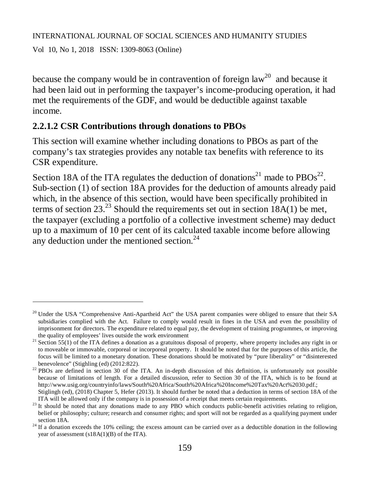Vol 10, No 1, 2018 ISSN: 1309-8063 (Online)

 $\overline{a}$ 

because the company would be in contravention of foreign  $law<sup>20</sup>$  and because it had been laid out in performing the taxpayer's income-producing operation, it had met the requirements of the GDF, and would be deductible against taxable income.

### **2.2.1.2 CSR Contributions through donations to PBOs**

This section will examine whether including donations to PBOs as part of the company's tax strategies provides any notable tax benefits with reference to its CSR expenditure.

Section 18A of the ITA regulates the deduction of donations<sup>21</sup> made to  $PBOs<sup>22</sup>$ . Sub-section (1) of section 18A provides for the deduction of amounts already paid which, in the absence of this section, would have been specifically prohibited in terms of section 23.<sup>23</sup> Should the requirements set out in section  $18A(1)$  be met, the taxpayer (excluding a portfolio of a collective investment scheme) may deduct up to a maximum of 10 per cent of its calculated taxable income before allowing any deduction under the mentioned section. $24$ 

<sup>&</sup>lt;sup>20</sup> Under the USA "Comprehensive Anti-Apartheid Act" the USA parent companies were obliged to ensure that their SA subsidiaries complied with the Act. Failure to comply would result in fines in the USA and even the possibility of imprisonment for directors. The expenditure related to equal pay, the development of training programmes, or improving the quality of employees' lives outside the work environment

<sup>&</sup>lt;sup>21</sup> Section 55(1) of the ITA defines a donation as a gratuitous disposal of property, where property includes any right in or to moveable or immovable, corporeal or incorporeal property. It should be noted that for the purposes of this article, the focus will be limited to a monetary donation. These donations should be motivated by "pure liberality" or "disinterested benevolence" (Stighling (ed) (2012:822).

<sup>&</sup>lt;sup>22</sup> PBOs are defined in section 30 of the ITA. An in-depth discussion of this definition, is unfortunately not possible because of limitations of length. For a detailed discussion, refer to Section 30 of the ITA, which is to be found at <http://www.usig.org/countryinfo/laws/South%20Africa/South%20Africa%20Income%20Tax%20Act%2030.pdf.;> Stiglingh (ed), (2018) Chapter 5, Hefer (2013). It should further be noted that a deduction in terms of section 18A of the

ITA will be allowed only if the company is in possession of a receipt that meets certain requirements.

<sup>&</sup>lt;sup>23</sup> It should be noted that any donations made to any PBO which conducts public-benefit activities relating to religion, belief or philosophy; culture; research and consumer rights; and sport will not be regarded as a qualifying payment under section 18A.

 $24$  If a donation exceeds the 10% ceiling; the excess amount can be carried over as a deductible donation in the following year of assessment (s18A(1)(B) of the ITA).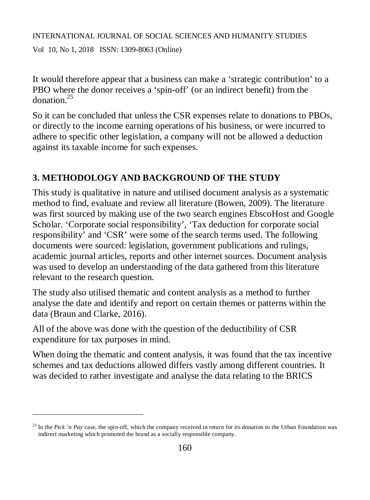Vol 10, No 1, 2018 ISSN: 1309-8063 (Online)

 $\overline{a}$ 

It would therefore appear that a business can make a 'strategic contribution' to a PBO where the donor receives a 'spin-off' (or an indirect benefit) from the donation.<sup>25</sup>

So it can be concluded that unless the CSR expenses relate to donations to PBOs, or directly to the income earning operations of his business, or were incurred to adhere to specific other legislation, a company will not be allowed a deduction against its taxable income for such expenses.

# **3. METHODOLOGY AND BACKGROUND OF THE STUDY**

This study is qualitative in nature and utilised document analysis as a systematic method to find, evaluate and review all literature (Bowen, 2009). The literature was first sourced by making use of the two search engines EbscoHost and Google Scholar. 'Corporate social responsibility', 'Tax deduction for corporate social responsibility' and 'CSR' were some of the search terms used. The following documents were sourced: legislation, government publications and rulings, academic journal articles, reports and other internet sources. Document analysis was used to develop an understanding of the data gathered from this literature relevant to the research question.

The study also utilised thematic and content analysis as a method to further analyse the date and identify and report on certain themes or patterns within the data (Braun and Clarke, 2016).

All of the above was done with the question of the deductibility of CSR expenditure for tax purposes in mind.

When doing the thematic and content analysis, it was found that the tax incentive schemes and tax deductions allowed differs vastly among different countries. It was decided to rather investigate and analyse the data relating to the BRICS

<sup>&</sup>lt;sup>25</sup> In the *Pick 'n Pay* case, the spin-off, which the company received in return for its donation to the Urban Foundation was indirect marketing which promoted the brand as a socially responsible company.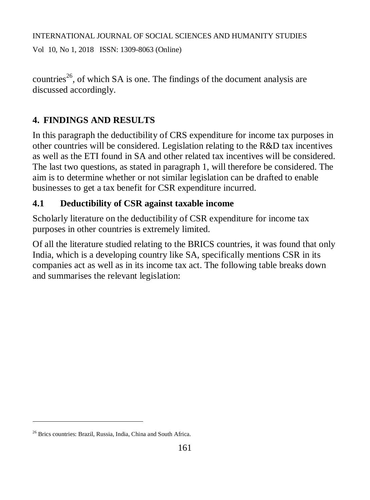Vol 10, No 1, 2018 ISSN: 1309-8063 (Online)

countries<sup>26</sup>, of which SA is one. The findings of the document analysis are discussed accordingly.

# **4. FINDINGS AND RESULTS**

In this paragraph the deductibility of CRS expenditure for income tax purposes in other countries will be considered. Legislation relating to the R&D tax incentives as well as the ETI found in SA and other related tax incentives will be considered. The last two questions, as stated in paragraph 1, will therefore be considered. The aim is to determine whether or not similar legislation can be drafted to enable businesses to get a tax benefit for CSR expenditure incurred.

# **4.1 Deductibility of CSR against taxable income**

Scholarly literature on the deductibility of CSR expenditure for income tax purposes in other countries is extremely limited.

Of all the literature studied relating to the BRICS countries, it was found that only India, which is a developing country like SA, specifically mentions CSR in its companies act as well as in its income tax act. The following table breaks down and summarises the relevant legislation:

<sup>26</sup> Brics countries: Brazil, Russia, India, China and South Africa.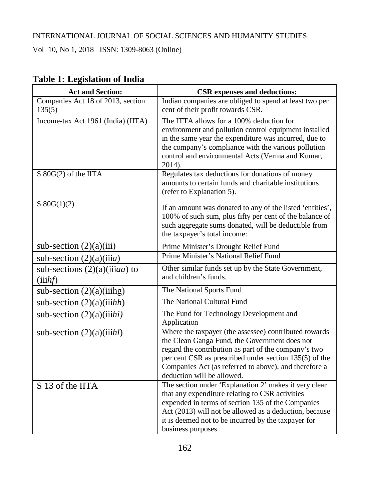Vol 10, No 1, 2018 ISSN: 1309-8063 (Online)

| <b>Act and Section:</b>                       | <b>CSR</b> expenses and deductions:                                                                                                                                                                                                                                                                             |
|-----------------------------------------------|-----------------------------------------------------------------------------------------------------------------------------------------------------------------------------------------------------------------------------------------------------------------------------------------------------------------|
| Companies Act 18 of 2013, section<br>135(5)   | Indian companies are obliged to spend at least two per<br>cent of their profit towards CSR.                                                                                                                                                                                                                     |
| Income-tax Act 1961 (India) (IITA)            | The ITTA allows for a 100% deduction for<br>environment and pollution control equipment installed<br>in the same year the expenditure was incurred, due to<br>the company's compliance with the various pollution<br>control and environmental Acts (Verma and Kumar,<br>2014).                                 |
| S 80G(2) of the IITA                          | Regulates tax deductions for donations of money<br>amounts to certain funds and charitable institutions<br>(refer to Explanation 5).                                                                                                                                                                            |
| $S \ 80G(1)(2)$                               | If an amount was donated to any of the listed 'entities',<br>100% of such sum, plus fifty per cent of the balance of<br>such aggregate sums donated, will be deductible from<br>the taxpayer's total income:                                                                                                    |
| sub-section $(2)(a)(iii)$                     | Prime Minister's Drought Relief Fund                                                                                                                                                                                                                                                                            |
| sub-section $(2)(a)(iiia)$                    | Prime Minister's National Relief Fund                                                                                                                                                                                                                                                                           |
| sub-sections $(2)(a)(i)$ iiaa) to<br>(iiih f) | Other similar funds set up by the State Government,<br>and children's funds.                                                                                                                                                                                                                                    |
| sub-section $(2)(a)(iiihg)$                   | The National Sports Fund                                                                                                                                                                                                                                                                                        |
| sub-section $(2)(a)(iiihh)$                   | The National Cultural Fund                                                                                                                                                                                                                                                                                      |
| sub-section $(2)(a)(iiihi)$                   | The Fund for Technology Development and<br>Application                                                                                                                                                                                                                                                          |
| sub-section $(2)(a)(iiihl)$                   | Where the taxpayer (the assessee) contributed towards<br>the Clean Ganga Fund, the Government does not<br>regard the contribution as part of the company's two<br>per cent CSR as prescribed under section 135(5) of the<br>Companies Act (as referred to above), and therefore a<br>deduction will be allowed. |
| $\overline{S}$ 13 of the IITA                 | The section under 'Explanation 2' makes it very clear<br>that any expenditure relating to CSR activities<br>expended in terms of section 135 of the Companies<br>Act (2013) will not be allowed as a deduction, because<br>it is deemed not to be incurred by the taxpayer for<br>business purposes             |

# **Table 1: Legislation of India**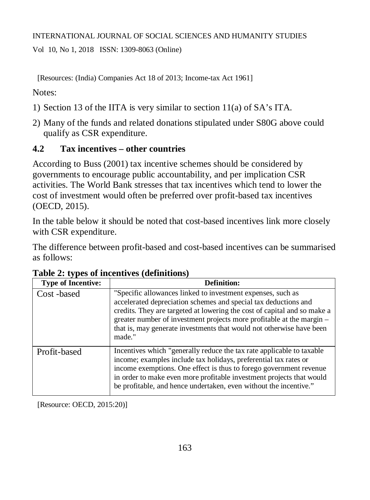Vol 10, No 1, 2018 ISSN: 1309-8063 (Online)

[Resources: (India) Companies Act 18 of 2013; Income-tax Act 1961]

Notes:

- 1) Section 13 of the IITA is very similar to section 11(a) of SA's ITA.
- 2) Many of the funds and related donations stipulated under S80G above could qualify as CSR expenditure.

# **4.2 Tax incentives – other countries**

According to Buss (2001) tax incentive schemes should be considered by governments to encourage public accountability, and per implication CSR activities. The World Bank stresses that tax incentives which tend to lower the cost of investment would often be preferred over profit-based tax incentives (OECD, 2015).

In the table below it should be noted that cost-based incentives link more closely with CSR expenditure.

The difference between profit-based and cost-based incentives can be summarised as follows:

| <b>Type of Incentive:</b> | Definition:                                                                                                                                                                                                                                                                                                                                                           |
|---------------------------|-----------------------------------------------------------------------------------------------------------------------------------------------------------------------------------------------------------------------------------------------------------------------------------------------------------------------------------------------------------------------|
| Cost-based                | "Specific allowances linked to investment expenses, such as<br>accelerated depreciation schemes and special tax deductions and<br>credits. They are targeted at lowering the cost of capital and so make a<br>greater number of investment projects more profitable at the margin –<br>that is, may generate investments that would not otherwise have been<br>made." |
| Profit-based              | Incentives which "generally reduce the tax rate applicable to taxable<br>income; examples include tax holidays, preferential tax rates or<br>income exemptions. One effect is thus to forego government revenue<br>in order to make even more profitable investment projects that would<br>be profitable, and hence undertaken, even without the incentive."          |

### **Table 2: types of incentives (definitions)**

[Resource: OECD, 2015:20)]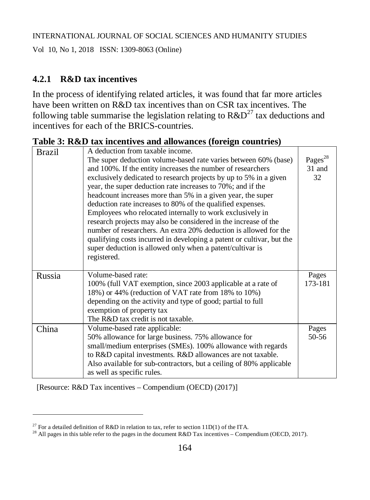Vol 10, No 1, 2018 ISSN: 1309-8063 (Online)

# **4.2.1 R&D tax incentives**

In the process of identifying related articles, it was found that far more articles have been written on R&D tax incentives than on CSR tax incentives. The following table summarise the legislation relating to  $R\&D^{27}$  tax deductions and incentives for each of the BRICS-countries.

**Table 3: R&D tax incentives and allowances (foreign countries)**

| <b>Brazil</b> | A deduction from taxable income.                                      |                     |
|---------------|-----------------------------------------------------------------------|---------------------|
|               | The super deduction volume-based rate varies between 60% (base)       | Pages <sup>28</sup> |
|               | and 100%. If the entity increases the number of researchers           | 31 and              |
|               | exclusively dedicated to research projects by up to 5% in a given     | 32                  |
|               | year, the super deduction rate increases to 70%; and if the           |                     |
|               | headcount increases more than 5% in a given year, the super           |                     |
|               | deduction rate increases to 80% of the qualified expenses.            |                     |
|               | Employees who relocated internally to work exclusively in             |                     |
|               | research projects may also be considered in the increase of the       |                     |
|               | number of researchers. An extra 20% deduction is allowed for the      |                     |
|               | qualifying costs incurred in developing a patent or cultivar, but the |                     |
|               | super deduction is allowed only when a patent/cultivar is             |                     |
|               | registered.                                                           |                     |
|               |                                                                       |                     |
| Russia        | Volume-based rate:                                                    | Pages               |
|               | 100% (full VAT exemption, since 2003 applicable at a rate of          | 173-181             |
|               | 18%) or 44% (reduction of VAT rate from 18% to 10%)                   |                     |
|               | depending on the activity and type of good; partial to full           |                     |
|               | exemption of property tax                                             |                     |
|               | The R&D tax credit is not taxable.                                    |                     |
| China         | Volume-based rate applicable:                                         | Pages               |
|               | 50% allowance for large business. 75% allowance for                   | 50-56               |
|               | small/medium enterprises (SMEs). 100% allowance with regards          |                     |
|               |                                                                       |                     |
|               | to R&D capital investments. R&D allowances are not taxable.           |                     |
|               | Also available for sub-contractors, but a ceiling of 80% applicable   |                     |

[Resource: R&D Tax incentives – Compendium (OECD) (2017)]

<sup>&</sup>lt;sup>27</sup> For a detailed definition of R&D in relation to tax, refer to section 11D(1) of the ITA.

<sup>&</sup>lt;sup>28</sup> All pages in this table refer to the pages in the document R&D Tax incentives – Compendium (OECD, 2017).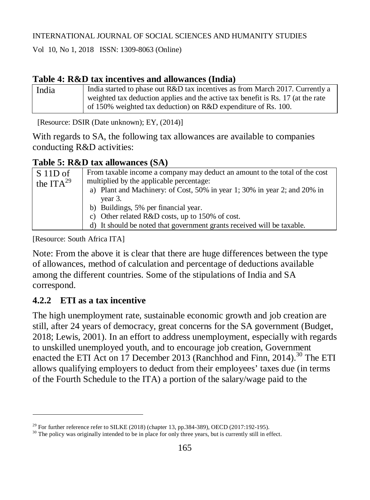Vol 10, No 1, 2018 ISSN: 1309-8063 (Online)

## **Table 4: R&D tax incentives and allowances (India)**

| India | India started to phase out R&D tax incentives as from March 2017. Currently a    |
|-------|----------------------------------------------------------------------------------|
|       | weighted tax deduction applies and the active tax benefit is Rs. 17 (at the rate |
|       | of 150% weighted tax deduction) on R&D expenditure of Rs. 100.                   |

[Resource: DSIR (Date unknown); EY, (2014)]

With regards to SA, the following tax allowances are available to companies conducting R&D activities:

### **Table 5: R&D tax allowances (SA)**

| $S$ 11D of     | From taxable income a company may deduct an amount to the total of the cost |
|----------------|-----------------------------------------------------------------------------|
| the $ITA^{29}$ | multiplied by the applicable percentage:                                    |
|                | a) Plant and Machinery: of Cost, 50% in year 1; 30% in year 2; and 20% in   |
|                | year 3.                                                                     |
|                | b) Buildings, 5% per financial year.                                        |
|                | c) Other related R&D costs, up to 150% of cost.                             |
|                | d) It should be noted that government grants received will be taxable.      |
|                |                                                                             |

[Resource: South Africa ITA]

Note: From the above it is clear that there are huge differences between the type of allowances, method of calculation and percentage of deductions available among the different countries. Some of the stipulations of India and SA correspond.

# **4.2.2 ETI as a tax incentive**

 $\overline{a}$ 

The high unemployment rate, sustainable economic growth and job creation are still, after 24 years of democracy, great concerns for the SA government (Budget, 2018; Lewis, 2001). In an effort to address unemployment, especially with regards to unskilled unemployed youth, and to encourage job creation, Government enacted the ETI Act on 17 December 2013 (Ranchhod and Finn, 2014).<sup>30</sup> The ETI allows qualifying employers to deduct from their employees' taxes due (in terms of the Fourth Schedule to the ITA) a portion of the salary/wage paid to the

<sup>&</sup>lt;sup>29</sup> For further reference refer to SILKE (2018) (chapter 13, pp.384-389), OECD (2017:192-195).

<sup>&</sup>lt;sup>30</sup> The policy was originally intended to be in place for only three years, but is currently still in effect.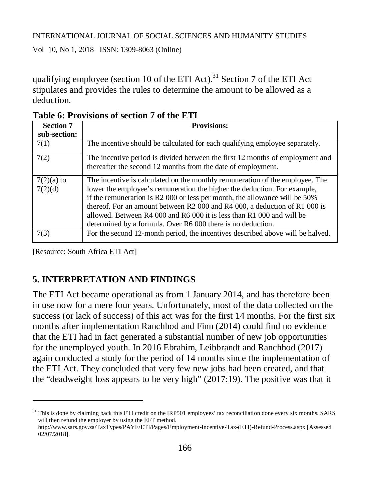Vol 10, No 1, 2018 ISSN: 1309-8063 (Online)

qualifying employee (section 10 of the ETI Act).<sup>31</sup> Section 7 of the ETI Act stipulates and provides the rules to determine the amount to be allowed as a deduction.

| <b>Section 7</b> | <b>Provisions:</b>                                                             |
|------------------|--------------------------------------------------------------------------------|
| sub-section:     |                                                                                |
| 7(1)             | The incentive should be calculated for each qualifying employee separately.    |
| 7(2)             | The incentive period is divided between the first 12 months of employment and  |
|                  | thereafter the second 12 months from the date of employment.                   |
| $7(2)(a)$ to     | The incentive is calculated on the monthly remuneration of the employee. The   |
| 7(2)(d)          | lower the employee's remuneration the higher the deduction. For example,       |
|                  | if the remuneration is R2 000 or less per month, the allowance will be 50%     |
|                  | thereof. For an amount between R2 000 and R4 000, a deduction of R1 000 is     |
|                  | allowed. Between R4 000 and R6 000 it is less than R1 000 and will be          |
|                  | determined by a formula. Over R6 000 there is no deduction.                    |
| 7(3)             | For the second 12-month period, the incentives described above will be halved. |

**Table 6: Provisions of section 7 of the ETI**

[Resource: South Africa ETI Act]

 $\overline{a}$ 

# **5. INTERPRETATION AND FINDINGS**

The ETI Act became operational as from 1 January 2014, and has therefore been in use now for a mere four years. Unfortunately, most of the data collected on the success (or lack of success) of this act was for the first 14 months. For the first six months after implementation Ranchhod and Finn (2014) could find no evidence that the ETI had in fact generated a substantial number of new job opportunities for the unemployed youth. In 2016 Ebrahim, Leibbrandt and Ranchhod (2017) again conducted a study for the period of 14 months since the implementation of the ETI Act. They concluded that very few new jobs had been created, and that the "deadweight loss appears to be very high" (2017:19). The positive was that it

 $31$  This is done by claiming back this ETI credit on the IRP501 employees' tax reconciliation done every six months. SARS will then refund the employer by using the EFT method.

[http://www.sars.gov.za/TaxTypes/PAYE/ETI/Pages/Employment-Incentive-Tax-\(ETI\)-Refund-Process.aspx](http://www.sars.gov.za/TaxTypes/PAYE/ETI/Pages/Employment-Incentive-Tax-(ETI)-Refund-Process.aspx) [Assessed 02/07/2018].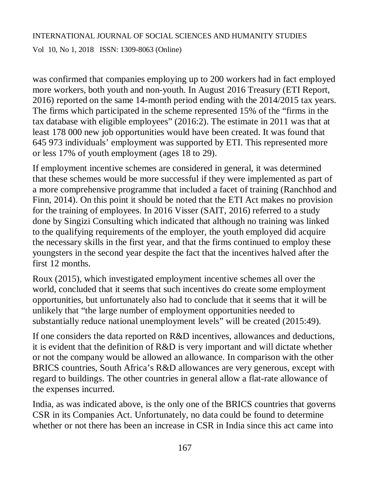Vol 10, No 1, 2018 ISSN: 1309-8063 (Online)

was confirmed that companies employing up to 200 workers had in fact employed more workers, both youth and non-youth. In August 2016 Treasury (ETI Report, 2016) reported on the same 14-month period ending with the 2014/2015 tax years. The firms which participated in the scheme represented 15% of the "firms in the tax database with eligible employees" (2016:2). The estimate in 2011 was that at least 178 000 new job opportunities would have been created. It was found that 645 973 individuals' employment was supported by ETI. This represented more or less 17% of youth employment (ages 18 to 29).

If employment incentive schemes are considered in general, it was determined that these schemes would be more successful if they were implemented as part of a more comprehensive programme that included a facet of training (Ranchhod and Finn, 2014). On this point it should be noted that the ETI Act makes no provision for the training of employees. In 2016 Visser (SAIT, 2016) referred to a study done by Singizi Consulting which indicated that although no training was linked to the qualifying requirements of the employer, the youth employed did acquire the necessary skills in the first year, and that the firms continued to employ these youngsters in the second year despite the fact that the incentives halved after the first 12 months.

Roux (2015), which investigated employment incentive schemes all over the world, concluded that it seems that such incentives do create some employment opportunities, but unfortunately also had to conclude that it seems that it will be unlikely that "the large number of employment opportunities needed to substantially reduce national unemployment levels" will be created (2015:49).

If one considers the data reported on R&D incentives, allowances and deductions, it is evident that the definition of R&D is very important and will dictate whether or not the company would be allowed an allowance. In comparison with the other BRICS countries, South Africa's R&D allowances are very generous, except with regard to buildings. The other countries in general allow a flat-rate allowance of the expenses incurred.

India, as was indicated above, is the only one of the BRICS countries that governs CSR in its Companies Act. Unfortunately, no data could be found to determine whether or not there has been an increase in CSR in India since this act came into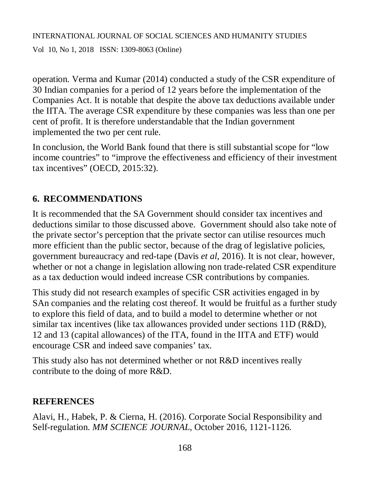Vol 10, No 1, 2018 ISSN: 1309-8063 (Online)

operation. Verma and Kumar (2014) conducted a study of the CSR expenditure of 30 Indian companies for a period of 12 years before the implementation of the Companies Act. It is notable that despite the above tax deductions available under the IITA. The average CSR expenditure by these companies was less than one per cent of profit. It is therefore understandable that the Indian government implemented the two per cent rule.

In conclusion, the World Bank found that there is still substantial scope for "low income countries" to "improve the effectiveness and efficiency of their investment tax incentives" (OECD, 2015:32).

# **6. RECOMMENDATIONS**

It is recommended that the SA Government should consider tax incentives and deductions similar to those discussed above. Government should also take note of the private sector's perception that the private sector can utilise resources much more efficient than the public sector, because of the drag of legislative policies, government bureaucracy and red-tape (Davis *et al*, 2016). It is not clear, however, whether or not a change in legislation allowing non trade-related CSR expenditure as a tax deduction would indeed increase CSR contributions by companies.

This study did not research examples of specific CSR activities engaged in by SAn companies and the relating cost thereof. It would be fruitful as a further study to explore this field of data, and to build a model to determine whether or not similar tax incentives (like tax allowances provided under sections 11D (R&D), 12 and 13 (capital allowances) of the ITA, found in the IITA and ETF) would encourage CSR and indeed save companies' tax.

This study also has not determined whether or not R&D incentives really contribute to the doing of more R&D.

### **REFERENCES**

Alavi, H., Habek, P. & Cierna, H. (2016). Corporate Social Responsibility and Self-regulation. *MM SCIENCE JOURNAL,* October 2016, 1121-1126.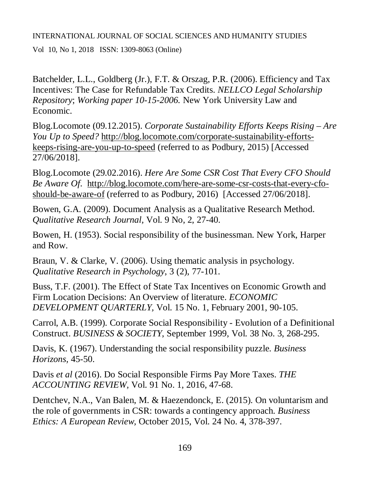Vol 10, No 1, 2018 ISSN: 1309-8063 (Online)

Batchelder, L.L., Goldberg (Jr.), F.T. & Orszag, P.R. (2006). Efficiency and Tax Incentives: The Case for Refundable Tax Credits. *NELLCO Legal Scholarship Repository*; *Working paper 10-15-2006.* New York University Law and Economic.

Blog.Locomote (09.12.2015). *Corporate Sustainability Efforts Keeps Rising – Are You Up to Speed?* [http://blog.locomote.com/corporate-sustainability-efforts](http://blog.locomote.com/corporate-sustainability-efforts-)keeps-rising-are-you-up-to-speed (referred to as Podbury, 2015) [Accessed 27/06/2018].

Blog.Locomote (29.02.2016). *Here Are Some CSR Cost That Every CFO Should Be Aware Of.* [http://blog.locomote.com/here-are-some-csr-costs-that-every-cfo](http://blog.locomote.com/here-are-some-csr-costs-that-every-cfo-)should-be-aware-of (referred to as Podbury, 2016) [Accessed 27/06/2018].

Bowen, G.A. (2009). Document Analysis as a Qualitative Research Method. *Qualitative Research Journal,* Vol. 9 No, 2, 27-40.

Bowen, H. (1953). Social responsibility of the businessman. New York, Harper and Row.

Braun, V. & Clarke, V. (2006). Using thematic analysis in psychology. *Qualitative Research in Psychology*, 3 (2), 77-101.

Buss, T.F. (2001). The Effect of State Tax Incentives on Economic Growth and Firm Location Decisions: An Overview of literature. *ECONOMIC DEVELOPMENT QUARTERLY,* Vol. 15 No. 1, February 2001, 90-105.

Carrol, A.B. (1999). Corporate Social Responsibility - Evolution of a Definitional Construct. *BUSINESS & SOCIETY*, September 1999, Vol. 38 No. 3, 268-295.

Davis, K. (1967). Understanding the social responsibility puzzle. *Business Horizons,* 45-50.

Davis *et al* (2016). Do Social Responsible Firms Pay More Taxes. *THE ACCOUNTING REVIEW,* Vol. 91 No. 1, 2016, 47-68.

Dentchev, N.A., Van Balen, M. & Haezendonck, E. (2015). On voluntarism and the role of governments in CSR: towards a contingency approach. *Business Ethics: A European Review,* October 2015, Vol. 24 No. 4, 378-397.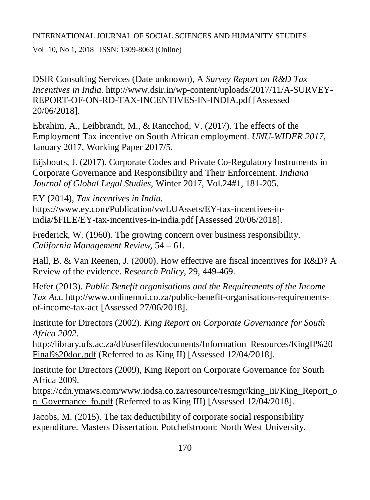Vol 10, No 1, 2018 ISSN: 1309-8063 (Online)

DSIR Consulting Services (Date unknown), A *Survey Report on R&D Tax Incentives in India.* <http://www.dsir.in/wp-content/uploads/2017/11/A-SURVEY->REPORT-OF-ON-RD-TAX-INCENTIVES-IN-INDIA.pdf [Assessed 20/06/2018].

Ebrahim, A., Leibbrandt, M., & Rancchod, V. (2017). The effects of the Employment Tax incentive on South African employment. *UNU-WIDER 2017,*  January 2017, Working Paper 2017/5.

Eijsbouts, J. (2017). Corporate Codes and Private Co-Regulatory Instruments in Corporate Governance and Responsibility and Their Enforcement. *Indiana Journal of Global Legal Studies,* Winter 2017, Vol.24#1, 181-205.

EY (2014), *Tax incentives in India.* [https://www.ey.com/Publication/vwLUAssets/EY-tax-incentives-in](https://www.ey.com/Publication/vwLUAssets/EY-tax-incentives-in-)india/\$FILE/EY-tax-incentives-in-india.pdf [Assessed 20/06/2018].

Frederick, W. (1960). The growing concern over business responsibility. *California Management Review,* 54 – 61.

Hall, B. & Van Reenen, J. (2000). How effective are fiscal incentives for R&D? A Review of the evidence. *Research Policy*, 29, 449-469.

Hefer (2013). *Public Benefit organisations and the Requirements of the Income Tax Act.* [http://www.onlinemoi.co.za/public-benefit-organisations-requirements](http://www.onlinemoi.co.za/public-benefit-organisations-requirements-)of-income-tax-act [Assessed 27/06/2018].

Institute for Directors (2002). *King Report on Corporate Governance for South Africa 2002.*

[http://library.ufs.ac.za/dl/userfiles/documents/Information\\_Resources/KingII%20](http://library.ufs.ac.za/dl/userfiles/documents/Information_Resources/KingII%20) Final%20doc.pdf (Referred to as King II) [Assessed 12/04/2018].

Institute for Directors (2009), King Report on Corporate Governance for South Africa 2009.

[https://cdn.ymaws.com/www.iodsa.co.za/resource/resmgr/king\\_iii/King\\_Report\\_o](https://cdn.ymaws.com/www.iodsa.co.za/resource/resmgr/king_iii/King_Report_o) n\_Governance\_fo.pdf (Referred to as King III) [Assessed 12/04/2018].

Jacobs, M. (2015). The tax deductibility of corporate social responsibility expenditure. Masters Dissertation. Potchefstroom: North West University.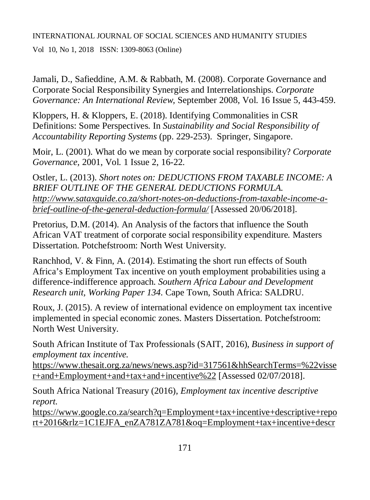Vol 10, No 1, 2018 ISSN: 1309-8063 (Online)

Jamali, D., Safieddine, A.M. & Rabbath, M. (2008). Corporate Governance and Corporate Social Responsibility Synergies and Interrelationships. *Corporate Governance: An International Review,* September 2008, Vol. 16 Issue 5, 443-459.

Kloppers, H. & Kloppers, E. (2018). Identifying Commonalities in CSR Definitions: Some Perspectives. In *Sustainability and Social Responsibility of Accountability Reporting Systems* (pp. 229-253). Springer, Singapore.

Moir, L. (2001). What do we mean by corporate social responsibility? *Corporate Governance,* 2001, Vol. 1 Issue 2, 16-22.

Ostler, L. (2013). *Short notes on: DEDUCTIONS FROM TAXABLE INCOME: A BRIEF OUTLINE OF THE GENERAL DEDUCTIONS FORMULA. [http://www.sataxguide.co.za/short-notes-on-deductions-from-taxable-income-a](http://www.sataxguide.co.za/short-notes-on-deductions-from-taxable-income-a-)brief-outline-of-the-general-deduction-formula/* [Assessed 20/06/2018].

Pretorius, D.M. (2014). An Analysis of the factors that influence the South African VAT treatment of corporate social responsibility expenditure*.* Masters Dissertation. Potchefstroom: North West University.

Ranchhod, V. & Finn, A. (2014). Estimating the short run effects of South Africa's Employment Tax incentive on youth employment probabilities using a difference-indifference approach. *Southern Africa Labour and Development Research unit, Working Paper 134*. Cape Town, South Africa: SALDRU.

Roux, J. (2015). A review of international evidence on employment tax incentive implemented in special economic zones. Masters Dissertation. Potchefstroom: North West University.

South African Institute of Tax Professionals (SAIT, 2016), *Business in support of employment tax incentive.*

<https://www.thesait.org.za/news/news.asp?id=317561&hhSearchTerms=%22visse> r+and+Employment+and+tax+and+incentive%22 [Assessed 02/07/2018].

South Africa National Treasury (2016), *Employment tax incentive descriptive report.*

<https://www.google.co.za/search?q=Employment+tax+incentive+descriptive+repo> rt+2016&rlz=1C1EJFA\_enZA781ZA781&oq=Employment+tax+incentive+descr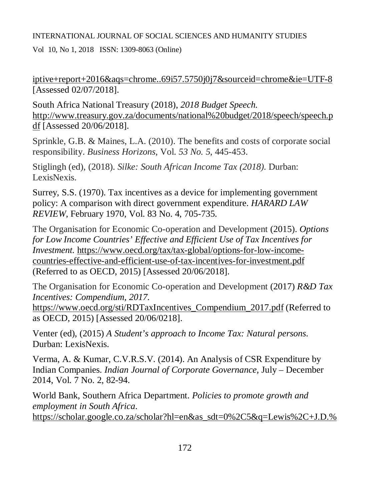Vol 10, No 1, 2018 ISSN: 1309-8063 (Online)

iptive+report+2016&aqs=chrome..69i57.5750j0j7&sourceid=chrome&ie=UTF-8 [Assessed 02/07/2018].

South Africa National Treasury (2018), *2018 Budget Speech.* <http://www.treasury.gov.za/documents/national%20budget/2018/speech/speech.p> df [Assessed 20/06/2018].

Sprinkle, G.B. & Maines, L.A. (2010). The benefits and costs of corporate social responsibility. *Business Horizons*, Vol. *53 No. 5*, 445-453.

Stiglingh (ed), (2018). *Silke: South African Income Tax (2018).* Durban: LexisNexis.

Surrey, S.S. (1970). Tax incentives as a device for implementing government policy: A comparison with direct government expenditure. *HARARD LAW REVIEW*, February 1970, Vol. 83 No. 4, 705-735.

The Organisation for Economic Co-operation and Development (2015). *Options for Low Income Countries' Effective and Efficient Use of Tax Incentives for Investment.* [https://www.oecd.org/tax/tax-global/options-for-low-income](https://www.oecd.org/tax/tax-global/options-for-low-income-)countries-effective-and-efficient-use-of-tax-incentives-for-investment.pdf (Referred to as OECD, 2015) [Assessed 20/06/2018].

The Organisation for Economic Co-operation and Development (2017) *R&D Tax Incentives: Compendium, 2017.* 

[https://www.oecd.org/sti/RDTaxIncentives\\_Compendium\\_2017.pdf](https://www.oecd.org/sti/RDTaxIncentives_Compendium_2017.pdf) (Referred to as OECD, 2015) [Assessed 20/06/0218].

Venter (ed), (2015) *A Student's approach to Income Tax: Natural persons*. Durban: LexisNexis.

Verma, A. & Kumar, C.V.R.S.V. (2014). An Analysis of CSR Expenditure by Indian Companies. *Indian Journal of Corporate Governance,* July – December 2014, Vol. 7 No. 2, 82-94.

World Bank, Southern Africa Department. *Policies to promote growth and employment in South Africa*. [https://scholar.google.co.za/scholar?hl=en&as\\_sdt=0%2C5&q=Lewis%2C+J.D.%](https://scholar.google.co.za/scholar?hl=en&as_sdt=0%2C5&q=Lewis%2C+J.D.%)